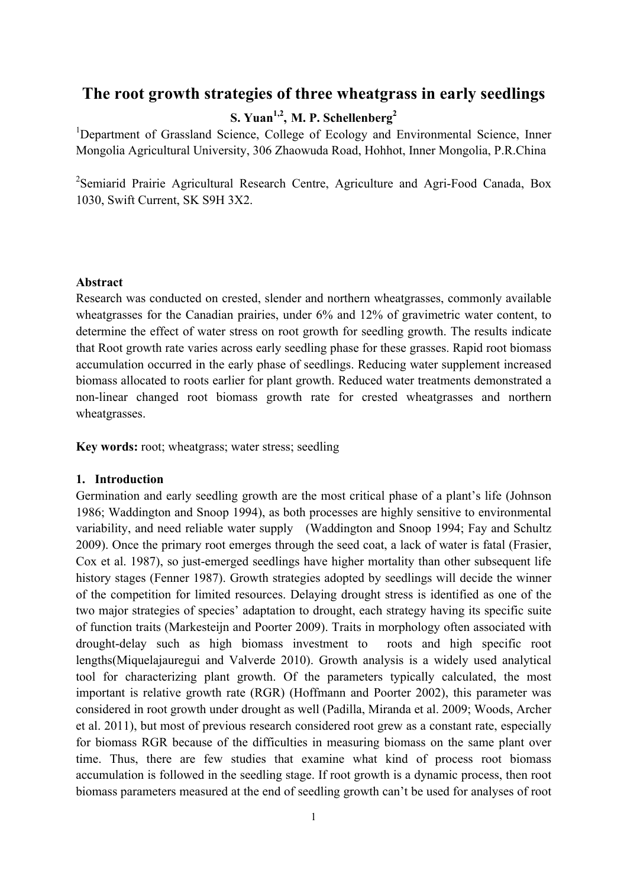# **The root growth strategies of three wheatgrass in early seedlings**

# **S. Yuan1,2, M. P. Schellenberg<sup>2</sup>**

<sup>1</sup>Department of Grassland Science, College of Ecology and Environmental Science, Inner Mongolia Agricultural University, 306 Zhaowuda Road, Hohhot, Inner Mongolia, P.R.China

<sup>2</sup>Semiarid Prairie Agricultural Research Centre, Agriculture and Agri-Food Canada, Box 1030, Swift Current, SK S9H 3X2.

### **Abstract**

Research was conducted on crested, slender and northern wheatgrasses, commonly available wheatgrasses for the Canadian prairies, under 6% and 12% of gravimetric water content, to determine the effect of water stress on root growth for seedling growth. The results indicate that Root growth rate varies across early seedling phase for these grasses. Rapid root biomass accumulation occurred in the early phase of seedlings. Reducing water supplement increased biomass allocated to roots earlier for plant growth. Reduced water treatments demonstrated a non-linear changed root biomass growth rate for crested wheatgrasses and northern wheatgrasses.

**Key words:** root; wheatgrass; water stress; seedling

## **1. Introduction**

Germination and early seedling growth are the most critical phase of a plant's life (Johnson 1986; Waddington and Snoop 1994), as both processes are highly sensitive to environmental variability, and need reliable water supply (Waddington and Snoop 1994; Fay and Schultz 2009). Once the primary root emerges through the seed coat, a lack of water is fatal (Frasier, Cox et al. 1987), so just-emerged seedlings have higher mortality than other subsequent life history stages (Fenner 1987). Growth strategies adopted by seedlings will decide the winner of the competition for limited resources. Delaying drought stress is identified as one of the two major strategies of species' adaptation to drought, each strategy having its specific suite of function traits (Markesteijn and Poorter 2009). Traits in morphology often associated with drought-delay such as high biomass investment to roots and high specific root lengths(Miquelajauregui and Valverde 2010). Growth analysis is a widely used analytical tool for characterizing plant growth. Of the parameters typically calculated, the most important is relative growth rate (RGR) (Hoffmann and Poorter 2002), this parameter was considered in root growth under drought as well (Padilla, Miranda et al. 2009; Woods, Archer et al. 2011), but most of previous research considered root grew as a constant rate, especially for biomass RGR because of the difficulties in measuring biomass on the same plant over time. Thus, there are few studies that examine what kind of process root biomass accumulation is followed in the seedling stage. If root growth is a dynamic process, then root biomass parameters measured at the end of seedling growth can't be used for analyses of root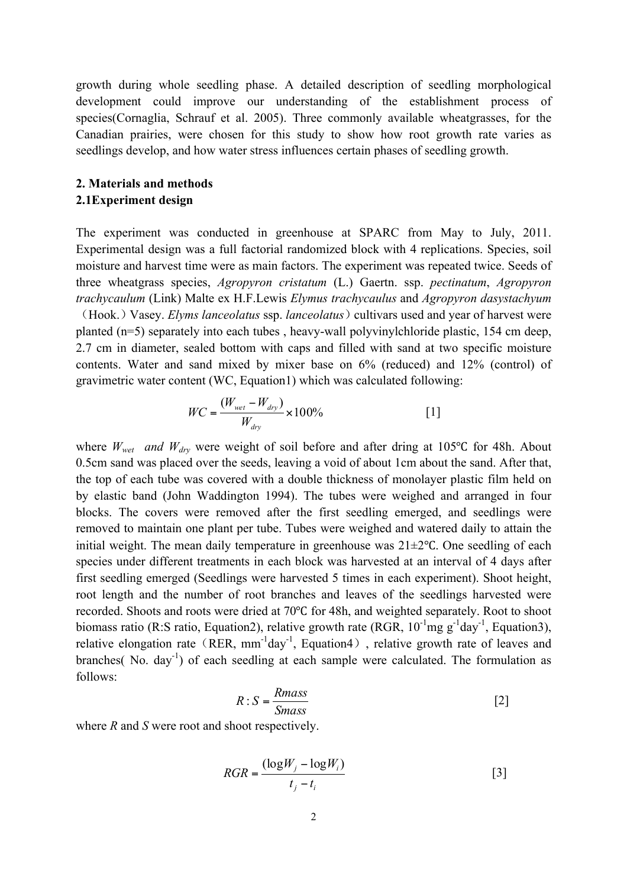growth during whole seedling phase. A detailed description of seedling morphological development could improve our understanding of the establishment process of species(Cornaglia, Schrauf et al. 2005). Three commonly available wheatgrasses, for the Canadian prairies, were chosen for this study to show how root growth rate varies as seedlings develop, and how water stress influences certain phases of seedling growth.

# **2. Materials and methods 2.1Experiment design**

The experiment was conducted in greenhouse at SPARC from May to July, 2011. Experimental design was a full factorial randomized block with 4 replications. Species, soil moisture and harvest time were as main factors. The experiment was repeated twice. Seeds of three wheatgrass species, *Agropyron cristatum* (L.) Gaertn. ssp. *pectinatum*, *Agropyron trachycaulum* (Link) Malte ex H.F.Lewis *Elymus trachycaulus* and *Agropyron dasystachyum*

(Hook.) Vasey. *Elyms lanceolatus* ssp. *lanceolatus*) cultivars used and year of harvest were planted (n=5) separately into each tubes , heavy-wall polyvinylchloride plastic, 154 cm deep, 2.7 cm in diameter, sealed bottom with caps and filled with sand at two specific moisture contents. Water and sand mixed by mixer base on 6% (reduced) and 12% (control) of gravimetric water content (WC, Equation1) which was calculated following:

$$
WC = \frac{(W_{wet} - W_{dry})}{W_{dry}} \times 100\% \tag{1}
$$

where *W<sub>wet</sub>* and *W*<sub>drv</sub> were weight of soil before and after dring at 105 °C for 48h. About 0.5cm sand was placed over the seeds, leaving a void of about 1cm about the sand. After that, the top of each tube was covered with a double thickness of monolayer plastic film held on by elastic band (John Waddington 1994). The tubes were weighed and arranged in four blocks. The covers were removed after the first seedling emerged, and seedlings were removed to maintain one plant per tube. Tubes were weighed and watered daily to attain the initial weight. The mean daily temperature in greenhouse was 21±2℃. One seedling of each species under different treatments in each block was harvested at an interval of 4 days after first seedling emerged (Seedlings were harvested 5 times in each experiment). Shoot height, root length and the number of root branches and leaves of the seedlings harvested were recorded. Shoots and roots were dried at 70℃ for 48h, and weighted separately. Root to shoot biomass ratio (R:S ratio, Equation2), relative growth rate (RGR,  $10^{-1}$ mg g $^{-1}$ day<sup>-1</sup>, Equation3), relative elongation rate (RER,  $mm^{-1}day^{-1}$ , Equation4), relative growth rate of leaves and branches( No. day<sup>-1</sup>) of each seedling at each sample were calculated. The formulation as follows:

$$
R: S = \frac{Rmass}{Smass} \tag{2}
$$

where *R* and *S* were root and shoot respectively.

$$
RGR = \frac{(\log W_j - \log W_i)}{t_j - t_i} \tag{3}
$$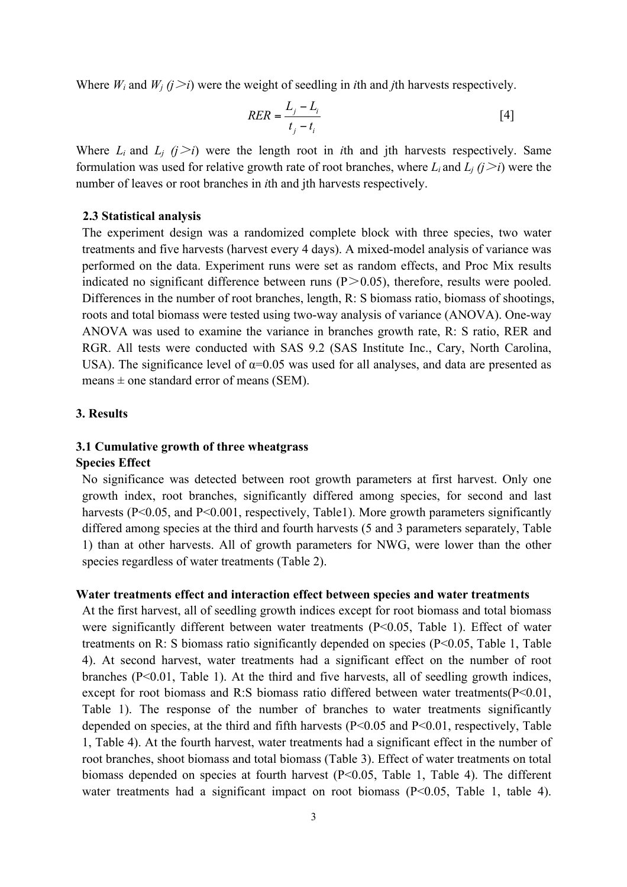Where  $W_i$  and  $W_j$  ( $j > i$ ) were the weight of seedling in *i*th and *j*th harvests respectively.

$$
RER = \frac{L_j - L_i}{t_j - t_i} \tag{4}
$$

Where  $L_i$  and  $L_j$   $(j>i)$  were the length root in *i*th and jth harvests respectively. Same formulation was used for relative growth rate of root branches, where  $L_i$  and  $L_j$  ( $j \ge i$ ) were the number of leaves or root branches in *i*th and jth harvests respectively.

### **2.3 Statistical analysis**

The experiment design was a randomized complete block with three species, two water treatments and five harvests (harvest every 4 days). A mixed-model analysis of variance was performed on the data. Experiment runs were set as random effects, and Proc Mix results indicated no significant difference between runs  $(P>0.05)$ , therefore, results were pooled. Differences in the number of root branches, length, R: S biomass ratio, biomass of shootings, roots and total biomass were tested using two-way analysis of variance (ANOVA). One-way ANOVA was used to examine the variance in branches growth rate, R: S ratio, RER and RGR. All tests were conducted with SAS 9.2 (SAS Institute Inc., Cary, North Carolina, USA). The significance level of  $\alpha$ =0.05 was used for all analyses, and data are presented as means  $\pm$  one standard error of means (SEM).

#### **3. Results**

## **3.1 Cumulative growth of three wheatgrass**

#### **Species Effect**

No significance was detected between root growth parameters at first harvest. Only one growth index, root branches, significantly differed among species, for second and last harvests (P<0.05, and P<0.001, respectively, Table1). More growth parameters significantly differed among species at the third and fourth harvests (5 and 3 parameters separately, Table 1) than at other harvests. All of growth parameters for NWG, were lower than the other species regardless of water treatments (Table 2).

#### **Water treatments effect and interaction effect between species and water treatments**

At the first harvest, all of seedling growth indices except for root biomass and total biomass were significantly different between water treatments (P<0.05, Table 1). Effect of water treatments on R: S biomass ratio significantly depended on species (P<0.05, Table 1, Table 4). At second harvest, water treatments had a significant effect on the number of root branches  $(P<0.01$ , Table 1). At the third and five harvests, all of seedling growth indices, except for root biomass and R:S biomass ratio differed between water treatments( $P \le 0.01$ , Table 1). The response of the number of branches to water treatments significantly depended on species, at the third and fifth harvests (P<0.05 and P<0.01, respectively, Table 1, Table 4). At the fourth harvest, water treatments had a significant effect in the number of root branches, shoot biomass and total biomass (Table 3). Effect of water treatments on total biomass depended on species at fourth harvest (P<0.05, Table 1, Table 4). The different water treatments had a significant impact on root biomass (P<0.05, Table 1, table 4).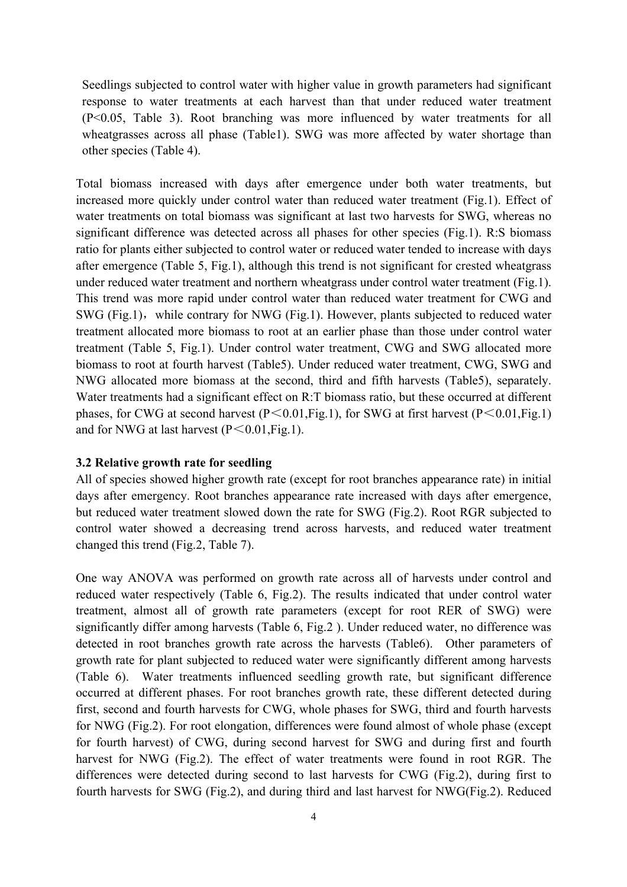Seedlings subjected to control water with higher value in growth parameters had significant response to water treatments at each harvest than that under reduced water treatment (P<0.05, Table 3). Root branching was more influenced by water treatments for all wheatgrasses across all phase (Table1). SWG was more affected by water shortage than other species (Table 4).

Total biomass increased with days after emergence under both water treatments, but increased more quickly under control water than reduced water treatment (Fig.1). Effect of water treatments on total biomass was significant at last two harvests for SWG, whereas no significant difference was detected across all phases for other species (Fig.1). R:S biomass ratio for plants either subjected to control water or reduced water tended to increase with days after emergence (Table 5, Fig.1), although this trend is not significant for crested wheatgrass under reduced water treatment and northern wheatgrass under control water treatment (Fig.1). This trend was more rapid under control water than reduced water treatment for CWG and SWG (Fig.1), while contrary for NWG (Fig.1). However, plants subjected to reduced water treatment allocated more biomass to root at an earlier phase than those under control water treatment (Table 5, Fig.1). Under control water treatment, CWG and SWG allocated more biomass to root at fourth harvest (Table5). Under reduced water treatment, CWG, SWG and NWG allocated more biomass at the second, third and fifth harvests (Table5), separately. Water treatments had a significant effect on R:T biomass ratio, but these occurred at different phases, for CWG at second harvest ( $P \le 0.01$ , Fig.1), for SWG at first harvest ( $P \le 0.01$ , Fig.1) and for NWG at last harvest  $(P \le 0.01, Fig.1)$ .

#### **3.2 Relative growth rate for seedling**

All of species showed higher growth rate (except for root branches appearance rate) in initial days after emergency. Root branches appearance rate increased with days after emergence, but reduced water treatment slowed down the rate for SWG (Fig.2). Root RGR subjected to control water showed a decreasing trend across harvests, and reduced water treatment changed this trend (Fig.2, Table 7).

One way ANOVA was performed on growth rate across all of harvests under control and reduced water respectively (Table 6, Fig.2). The results indicated that under control water treatment, almost all of growth rate parameters (except for root RER of SWG) were significantly differ among harvests (Table 6, Fig.2 ). Under reduced water, no difference was detected in root branches growth rate across the harvests (Table6). Other parameters of growth rate for plant subjected to reduced water were significantly different among harvests (Table 6). Water treatments influenced seedling growth rate, but significant difference occurred at different phases. For root branches growth rate, these different detected during first, second and fourth harvests for CWG, whole phases for SWG, third and fourth harvests for NWG (Fig.2). For root elongation, differences were found almost of whole phase (except for fourth harvest) of CWG, during second harvest for SWG and during first and fourth harvest for NWG (Fig.2). The effect of water treatments were found in root RGR. The differences were detected during second to last harvests for CWG (Fig.2), during first to fourth harvests for SWG (Fig.2), and during third and last harvest for NWG(Fig.2). Reduced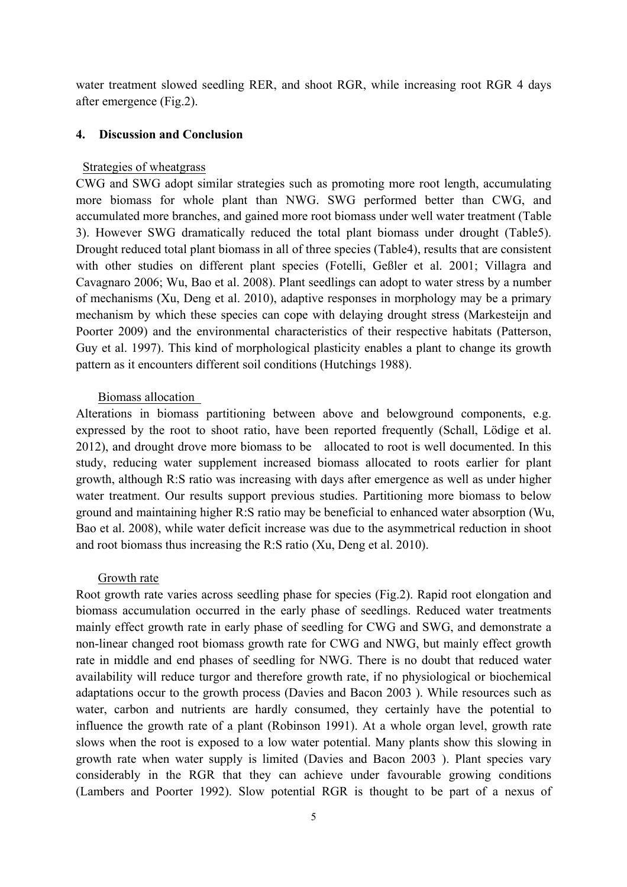water treatment slowed seedling RER, and shoot RGR, while increasing root RGR 4 days after emergence (Fig.2).

## **4. Discussion and Conclusion**

# Strategies of wheatgrass

CWG and SWG adopt similar strategies such as promoting more root length, accumulating more biomass for whole plant than NWG. SWG performed better than CWG, and accumulated more branches, and gained more root biomass under well water treatment (Table 3). However SWG dramatically reduced the total plant biomass under drought (Table5). Drought reduced total plant biomass in all of three species (Table4), results that are consistent with other studies on different plant species (Fotelli, Geßler et al. 2001; Villagra and Cavagnaro 2006; Wu, Bao et al. 2008). Plant seedlings can adopt to water stress by a number of mechanisms (Xu, Deng et al. 2010), adaptive responses in morphology may be a primary mechanism by which these species can cope with delaying drought stress (Markesteijn and Poorter 2009) and the environmental characteristics of their respective habitats (Patterson, Guy et al. 1997). This kind of morphological plasticity enables a plant to change its growth pattern as it encounters different soil conditions (Hutchings 1988).

#### Biomass allocation

Alterations in biomass partitioning between above and belowground components, e.g. expressed by the root to shoot ratio, have been reported frequently (Schall, Lödige et al. 2012), and drought drove more biomass to be allocated to root is well documented. In this study, reducing water supplement increased biomass allocated to roots earlier for plant growth, although R:S ratio was increasing with days after emergence as well as under higher water treatment. Our results support previous studies. Partitioning more biomass to below ground and maintaining higher R:S ratio may be beneficial to enhanced water absorption (Wu, Bao et al. 2008), while water deficit increase was due to the asymmetrical reduction in shoot and root biomass thus increasing the R:S ratio (Xu, Deng et al. 2010).

### Growth rate

Root growth rate varies across seedling phase for species (Fig.2). Rapid root elongation and biomass accumulation occurred in the early phase of seedlings. Reduced water treatments mainly effect growth rate in early phase of seedling for CWG and SWG, and demonstrate a non-linear changed root biomass growth rate for CWG and NWG, but mainly effect growth rate in middle and end phases of seedling for NWG. There is no doubt that reduced water availability will reduce turgor and therefore growth rate, if no physiological or biochemical adaptations occur to the growth process (Davies and Bacon 2003 ). While resources such as water, carbon and nutrients are hardly consumed, they certainly have the potential to influence the growth rate of a plant (Robinson 1991). At a whole organ level, growth rate slows when the root is exposed to a low water potential. Many plants show this slowing in growth rate when water supply is limited (Davies and Bacon 2003 ). Plant species vary considerably in the RGR that they can achieve under favourable growing conditions (Lambers and Poorter 1992). Slow potential RGR is thought to be part of a nexus of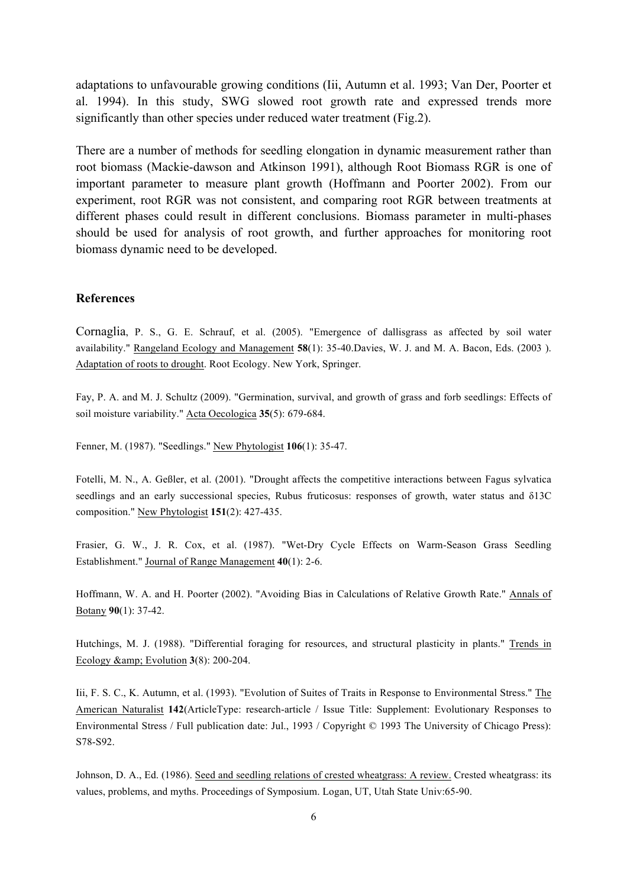adaptations to unfavourable growing conditions (Iii, Autumn et al. 1993; Van Der, Poorter et al. 1994). In this study, SWG slowed root growth rate and expressed trends more significantly than other species under reduced water treatment (Fig.2).

There are a number of methods for seedling elongation in dynamic measurement rather than root biomass (Mackie-dawson and Atkinson 1991), although Root Biomass RGR is one of important parameter to measure plant growth (Hoffmann and Poorter 2002). From our experiment, root RGR was not consistent, and comparing root RGR between treatments at different phases could result in different conclusions. Biomass parameter in multi-phases should be used for analysis of root growth, and further approaches for monitoring root biomass dynamic need to be developed.

#### **References**

Cornaglia, P. S., G. E. Schrauf, et al. (2005). "Emergence of dallisgrass as affected by soil water availability." Rangeland Ecology and Management **58**(1): 35-40.Davies, W. J. and M. A. Bacon, Eds. (2003 ). Adaptation of roots to drought. Root Ecology. New York, Springer.

Fay, P. A. and M. J. Schultz (2009). "Germination, survival, and growth of grass and forb seedlings: Effects of soil moisture variability." Acta Oecologica **35**(5): 679-684.

Fenner, M. (1987). "Seedlings." New Phytologist **106**(1): 35-47.

Fotelli, M. N., A. Geßler, et al. (2001). "Drought affects the competitive interactions between Fagus sylvatica seedlings and an early successional species, Rubus fruticosus: responses of growth, water status and  $\delta$ 13C composition." New Phytologist **151**(2): 427-435.

Frasier, G. W., J. R. Cox, et al. (1987). "Wet-Dry Cycle Effects on Warm-Season Grass Seedling Establishment." Journal of Range Management **40**(1): 2-6.

Hoffmann, W. A. and H. Poorter (2002). "Avoiding Bias in Calculations of Relative Growth Rate." Annals of Botany **90**(1): 37-42.

Hutchings, M. J. (1988). "Differential foraging for resources, and structural plasticity in plants." Trends in Ecology & Evolution **3**(8): 200-204.

Iii, F. S. C., K. Autumn, et al. (1993). "Evolution of Suites of Traits in Response to Environmental Stress." The American Naturalist **142**(ArticleType: research-article / Issue Title: Supplement: Evolutionary Responses to Environmental Stress / Full publication date: Jul., 1993 / Copyright © 1993 The University of Chicago Press): S78-S92.

Johnson, D. A., Ed. (1986). Seed and seedling relations of crested wheatgrass: A review. Crested wheatgrass: its values, problems, and myths. Proceedings of Symposium. Logan, UT, Utah State Univ:65-90.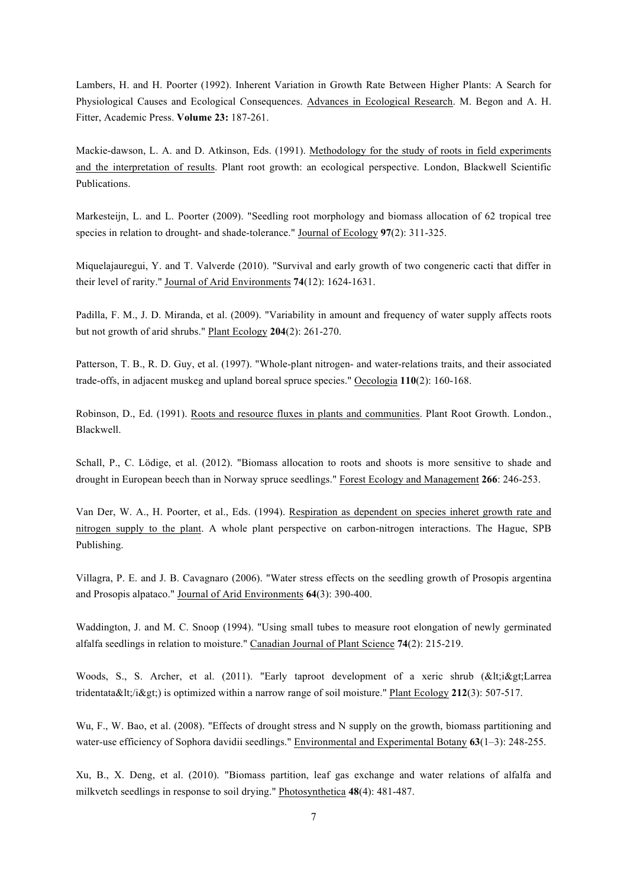Lambers, H. and H. Poorter (1992). Inherent Variation in Growth Rate Between Higher Plants: A Search for Physiological Causes and Ecological Consequences. Advances in Ecological Research. M. Begon and A. H. Fitter, Academic Press. **Volume 23:** 187-261.

Mackie-dawson, L. A. and D. Atkinson, Eds. (1991). Methodology for the study of roots in field experiments and the interpretation of results. Plant root growth: an ecological perspective. London, Blackwell Scientific Publications.

Markesteijn, L. and L. Poorter (2009). "Seedling root morphology and biomass allocation of 62 tropical tree species in relation to drought- and shade-tolerance." Journal of Ecology **97**(2): 311-325.

Miquelajauregui, Y. and T. Valverde (2010). "Survival and early growth of two congeneric cacti that differ in their level of rarity." Journal of Arid Environments **74**(12): 1624-1631.

Padilla, F. M., J. D. Miranda, et al. (2009). "Variability in amount and frequency of water supply affects roots but not growth of arid shrubs." Plant Ecology **204**(2): 261-270.

Patterson, T. B., R. D. Guy, et al. (1997). "Whole-plant nitrogen- and water-relations traits, and their associated trade-offs, in adjacent muskeg and upland boreal spruce species." Oecologia **110**(2): 160-168.

Robinson, D., Ed. (1991). Roots and resource fluxes in plants and communities. Plant Root Growth. London., Blackwell.

Schall, P., C. Lödige, et al. (2012). "Biomass allocation to roots and shoots is more sensitive to shade and drought in European beech than in Norway spruce seedlings." Forest Ecology and Management **266**: 246-253.

Van Der, W. A., H. Poorter, et al., Eds. (1994). Respiration as dependent on species inheret growth rate and nitrogen supply to the plant. A whole plant perspective on carbon-nitrogen interactions. The Hague, SPB Publishing.

Villagra, P. E. and J. B. Cavagnaro (2006). "Water stress effects on the seedling growth of Prosopis argentina and Prosopis alpataco." Journal of Arid Environments **64**(3): 390-400.

Waddington, J. and M. C. Snoop (1994). "Using small tubes to measure root elongation of newly germinated alfalfa seedlings in relation to moisture." Canadian Journal of Plant Science **74**(2): 215-219.

Woods, S., S. Archer, et al. (2011). "Early taproot development of a xeric shrub (< i&gt; Larrea tridentata</i&gt;) is optimized within a narrow range of soil moisture." Plant Ecology 212(3): 507-517.

Wu, F., W. Bao, et al. (2008). "Effects of drought stress and N supply on the growth, biomass partitioning and water-use efficiency of Sophora davidii seedlings." Environmental and Experimental Botany **63**(1–3): 248-255.

Xu, B., X. Deng, et al. (2010). "Biomass partition, leaf gas exchange and water relations of alfalfa and milkvetch seedlings in response to soil drying." Photosynthetica **48**(4): 481-487.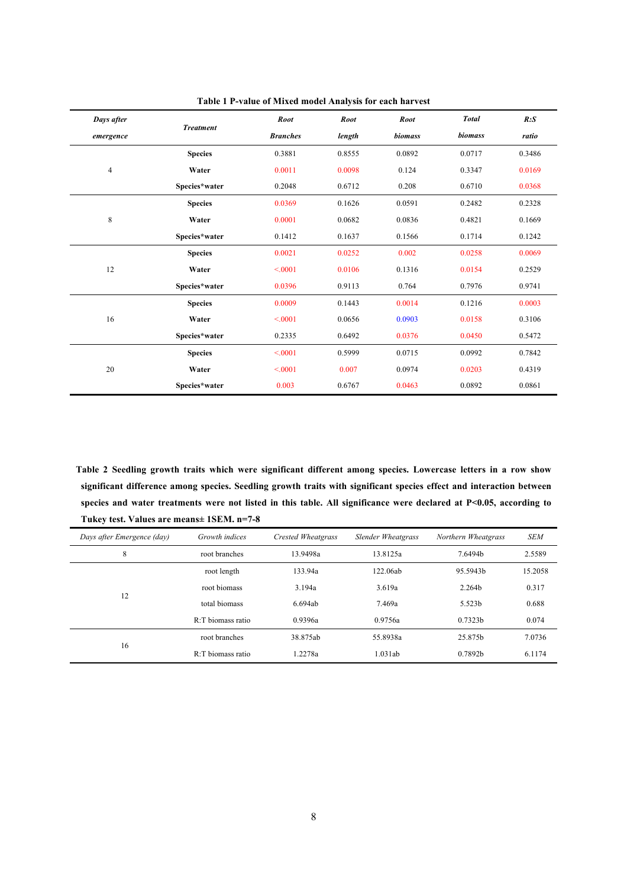| Days after     |                  | <b>Root</b>     | <b>Root</b> | <b>Root</b> | <b>Total</b> | R: S   |
|----------------|------------------|-----------------|-------------|-------------|--------------|--------|
| emergence      | <b>Treatment</b> | <b>Branches</b> | length      | biomass     | biomass      | ratio  |
|                | <b>Species</b>   | 0.3881          | 0.8555      | 0.0892      | 0.0717       | 0.3486 |
| $\overline{4}$ | Water            | 0.0011          | 0.0098      | 0.124       | 0.3347       | 0.0169 |
|                | Species*water    | 0.2048          | 0.6712      | 0.208       | 0.6710       | 0.0368 |
|                | <b>Species</b>   | 0.0369          | 0.1626      | 0.0591      | 0.2482       | 0.2328 |
| $\,$ 8 $\,$    | Water            | 0.0001          | 0.0682      | 0.0836      | 0.4821       | 0.1669 |
|                | Species*water    | 0.1412          | 0.1637      | 0.1566      | 0.1714       | 0.1242 |
|                | <b>Species</b>   | 0.0021          | 0.0252      | 0.002       | 0.0258       | 0.0069 |
| 12             | Water            | < 0.001         | 0.0106      | 0.1316      | 0.0154       | 0.2529 |
|                | Species*water    | 0.0396          | 0.9113      | 0.764       | 0.7976       | 0.9741 |
|                | <b>Species</b>   | 0.0009          | 0.1443      | 0.0014      | 0.1216       | 0.0003 |
| 16             | Water            | < 0001          | 0.0656      | 0.0903      | 0.0158       | 0.3106 |
|                | Species*water    | 0.2335          | 0.6492      | 0.0376      | 0.0450       | 0.5472 |
|                | <b>Species</b>   | < 0.001         | 0.5999      | 0.0715      | 0.0992       | 0.7842 |
| 20             | Water            | < 0.001         | 0.007       | 0.0974      | 0.0203       | 0.4319 |
|                | Species*water    | 0.003           | 0.6767      | 0.0463      | 0.0892       | 0.0861 |

**Table 1 P-value of Mixed model Analysis for each harvest**

**Table 2 Seedling growth traits which were significant different among species. Lowercase letters in a row show significant difference among species. Seedling growth traits with significant species effect and interaction between species and water treatments were not listed in this table. All significance were declared at P<0.05, according to Tukey test. Values are means± 1SEM. n=7-8**

| Days after Emergence (day) | Growth indices    | Crested Wheatgrass | Slender Wheatgrass | Northern Wheatgrass | <b>SEM</b> |
|----------------------------|-------------------|--------------------|--------------------|---------------------|------------|
| 8                          | root branches     | 13.9498a           | 13.8125a           | 7.6494b             | 2.5589     |
|                            | root length       | 133.94a            | 122.06ab           | 95.5943b            | 15.2058    |
|                            | root biomass      | 3.194a             | 3.619a             | 2.264b              | 0.317      |
| 12                         | total biomass     | 6.694ab            | 7.469a             | 5.523 <sub>h</sub>  | 0.688      |
|                            | R:T biomass ratio | 0.9396a            | 0.9756a            | 0.7323b             | 0.074      |
| 16                         | root branches     | 38.875ab           | 55.8938a           | 25.875b             | 7.0736     |
|                            | R:T biomass ratio | 1.2278a            | 1.031ab            | 0.7892b             | 6.1174     |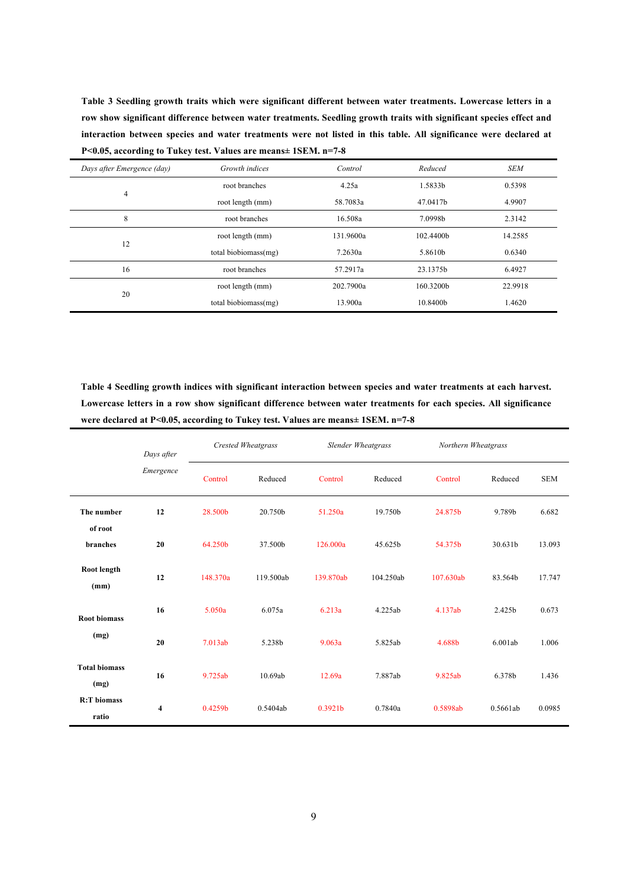**Table 3 Seedling growth traits which were significant different between water treatments. Lowercase letters in a row show significant difference between water treatments. Seedling growth traits with significant species effect and interaction between species and water treatments were not listed in this table. All significance were declared at P<0.05, according to Tukey test. Values are means± 1SEM. n=7-8**

| Days after Emergence (day) | Growth indices       | Control   | Reduced   | <b>SEM</b> |
|----------------------------|----------------------|-----------|-----------|------------|
|                            | root branches        | 4.25a     | 1.5833b   | 0.5398     |
| $\overline{4}$             | root length (mm)     | 58.7083a  | 47.0417b  | 4.9907     |
| 8                          | root branches        | 16.508a   | 7.0998b   | 2.3142     |
| 12                         | root length (mm)     | 131.9600a | 102.4400b | 14.2585    |
|                            | total biobiomass(mg) | 7.2630a   | 5.8610b   | 0.6340     |
| 16                         | root branches        | 57.2917a  | 23.1375b  | 6.4927     |
| 20                         | root length (mm)     | 202.7900a | 160.3200b | 22.9918    |
|                            | total biobiomass(mg) | 13.900a   | 10.8400b  | 1.4620     |

**Table 4 Seedling growth indices with significant interaction between species and water treatments at each harvest. Lowercase letters in a row show significant difference between water treatments for each species. All significance were declared at P<0.05, according to Tukey test. Values are means± 1SEM. n=7-8**

|                              | Days after<br>Emergence |          | Crested Wheatgrass | <b>Slender Wheatgrass</b><br>Northern Wheatgrass |           |           |          |            |
|------------------------------|-------------------------|----------|--------------------|--------------------------------------------------|-----------|-----------|----------|------------|
|                              |                         | Control  | Reduced            | Control                                          | Reduced   | Control   | Reduced  | <b>SEM</b> |
| The number<br>of root        | 12                      | 28.500b  | 20.750b            | 51.250a                                          | 19.750b   | 24.875b   | 9.789b   | 6.682      |
| branches                     | 20                      | 64.250b  | 37.500b            | 126.000a                                         | 45.625b   | 54.375b   | 30.631b  | 13.093     |
| Root length<br>(mm)          | 12                      | 148.370a | 119.500ab          | 139.870ab                                        | 104.250ab | 107.630ab | 83.564b  | 17.747     |
| <b>Root biomass</b>          | 16                      | 5.050a   | 6.075a             | 6.213a                                           | 4.225ab   | 4.137ab   | 2.425b   | 0.673      |
| (mg)                         | 20                      | 7.013ab  | 5.238b             | 9.063a                                           | 5.825ab   | 4.688b    | 6.001ab  | 1.006      |
| <b>Total biomass</b><br>(mg) | 16                      | 9.725ab  | 10.69ab            | 12.69a                                           | 7.887ab   | 9.825ab   | 6.378b   | 1.436      |
| <b>R:T</b> biomass<br>ratio  | 4                       | 0.4259b  | 0.5404ab           | 0.3921b                                          | 0.7840a   | 0.5898ab  | 0.5661ab | 0.0985     |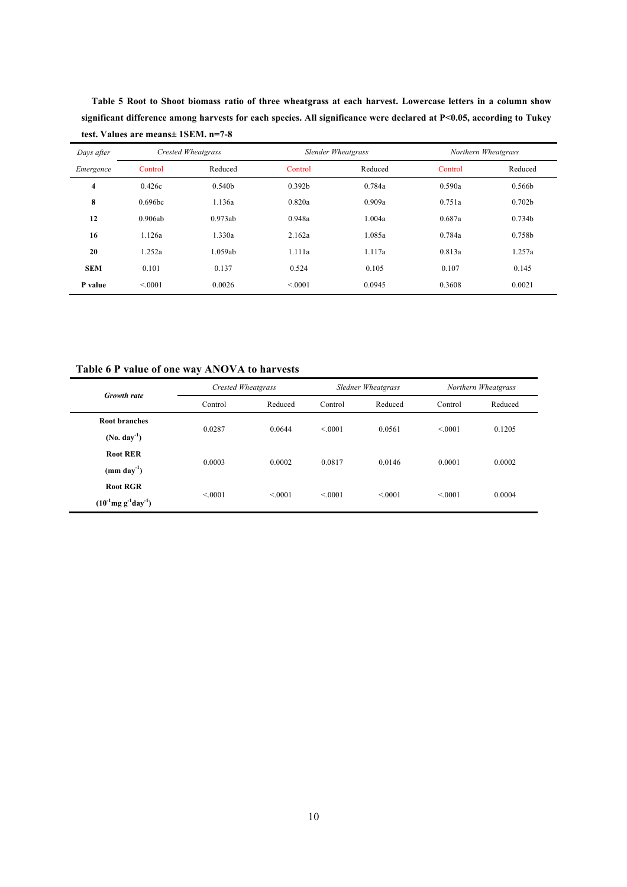**significant difference among harvests for each species. All significance were declared at P<0.05, according to Tukey test. Values are means± 1SEM. n=7-8** *Days after Emergence Crested Wheatgrass Slender Wheatgrass Northern Wheatgrass* Control Reduced Control Reduced Control Reduced

**Table 5 Root to Shoot biomass ratio of three wheatgrass at each harvest. Lowercase letters in a column show** 

|            |         |         |                    | $\sim$  |         |                    |
|------------|---------|---------|--------------------|---------|---------|--------------------|
| Emergence  | Control | Reduced | Control            | Reduced | Control | Reduced            |
| 4          | 0.426c  | 0.540b  | 0.392 <sub>b</sub> | 0.784a  | 0.590a  | 0.566b             |
| 8          | 0.696bc | 1.136a  | 0.820a             | 0.909a  | 0.751a  | 0.702 <sub>b</sub> |
| 12         | 0.906ab | 0.973ab | 0.948a             | 1.004a  | 0.687a  | 0.734b             |
| 16         | 1.126a  | 1.330a  | 2.162a             | 1.085a  | 0.784a  | 0.758b             |
| 20         | 1.252a  | 1.059ab | 1.111a             | 1.117a  | 0.813a  | 1.257a             |
| <b>SEM</b> | 0.101   | 0.137   | 0.524              | 0.105   | 0.107   | 0.145              |
| P value    | < 0001  | 0.0026  | < 0001             | 0.0945  | 0.3608  | 0.0021             |
|            |         |         |                    |         |         |                    |

**Table 6 P value of one way ANOVA to harvests**

|                              |         | Crested Wheatgrass |         | <b>Sledner Wheatgrass</b> |         | Northern Wheatgrass |  |
|------------------------------|---------|--------------------|---------|---------------------------|---------|---------------------|--|
| <b>Growth rate</b>           | Control | Reduced            | Control | Reduced                   | Control | Reduced             |  |
| Root branches                | 0.0287  | 0.0644             | < 0001  | 0.0561                    | < 0001  | 0.1205              |  |
| $(No. day-1)$                |         |                    |         |                           |         |                     |  |
| <b>Root RER</b>              |         | 0.0002             | 0.0817  | 0.0146                    | 0.0001  | 0.0002              |  |
| $(mm \,day^{-1})$            | 0.0003  |                    |         |                           |         |                     |  |
| <b>Root RGR</b>              |         |                    | < 0001  | < 0001                    |         |                     |  |
| $(10^{-1}mg g^{-1}day^{-1})$ | < 0001  | < 0.001            |         |                           | < 0.001 | 0.0004              |  |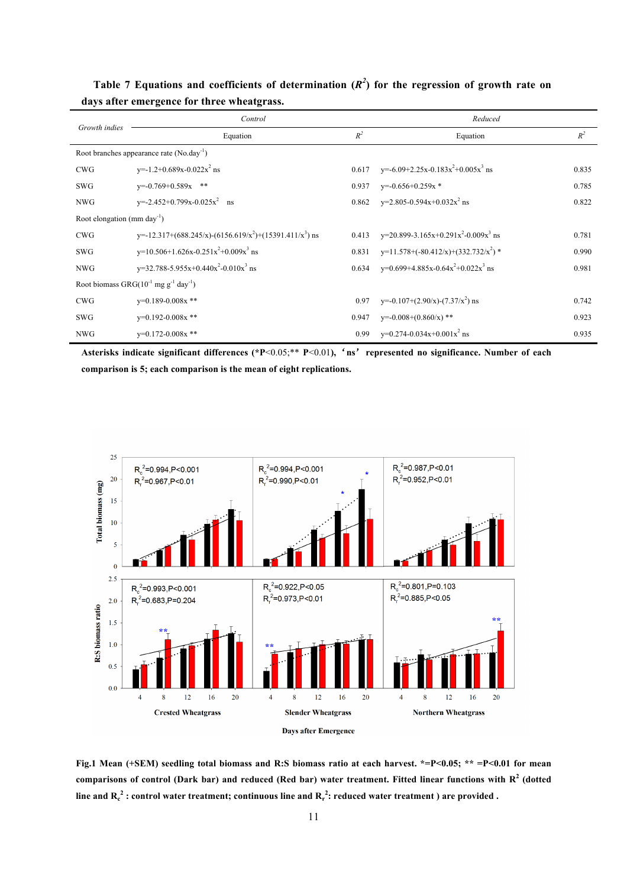|                                                       | Control                                                                         | Reduced |                                                           |       |
|-------------------------------------------------------|---------------------------------------------------------------------------------|---------|-----------------------------------------------------------|-------|
| Growth indies                                         | Equation                                                                        | $R^2$   | Equation                                                  | $R^2$ |
| Root branches appearance rate (No.day <sup>-1</sup> ) |                                                                                 |         |                                                           |       |
| <b>CWG</b>                                            | $y=1.2+0.689x-0.022x^2$ ns                                                      | 0.617   | y=-6.09+2.25x-0.183x <sup>2</sup> +0.005x <sup>3</sup> ns | 0.835 |
| <b>SWG</b>                                            | $v=-0.769+0.589x$ **                                                            | 0.937   | $v=-0.656+0.259x*$                                        | 0.785 |
| <b>NWG</b>                                            | $y=2.452+0.799x-0.025x^2$ ns                                                    | 0.862   | $y=2.805-0.594x+0.032x^2$ ns                              | 0.822 |
| Root elongation (mm day <sup>-1</sup> )               |                                                                                 |         |                                                           |       |
| <b>CWG</b>                                            | y=-12.317+(688.245/x)-(6156.619/x <sup>2</sup> )+(15391.411/x <sup>3</sup> ) ns | 0.413   | $y=20.899-3.165x+0.291x^2-0.009x^3$ ns                    | 0.781 |
| SWG                                                   | $y=10.506+1.626x-0.251x^2+0.009x^3$ ns                                          | 0.831   | $y=11.578+( -80.412/x)+(332.732/x^2)*$                    | 0.990 |
| <b>NWG</b>                                            | $y=32.788-5.955x+0.440x^2-0.010x^3$ ns                                          | 0.634   | y=0.699+4.885x-0.64x <sup>2</sup> +0.022x <sup>3</sup> ns | 0.981 |
|                                                       | Root biomass $GRG(10^{-1}$ mg g <sup>-1</sup> day <sup>-1</sup> )               |         |                                                           |       |
| <b>CWG</b>                                            | $v=0.189-0.008x$ **                                                             | 0.97    | $y=-0.107+(2.90/x)-(7.37/x^2)$ ns                         | 0.742 |
| <b>SWG</b>                                            | $v=0.192-0.008x$ **                                                             | 0.947   | $y=0.008+(0.860/x)$ **                                    | 0.923 |
| <b>NWG</b>                                            | $v=0.172-0.008x$ **                                                             | 0.99    | $y=0.274-0.034x+0.001x^2$ ns                              | 0.935 |

Table 7 Equations and coefficients of determination  $(R^2)$  for the regression of growth rate on **days after emergence for three wheatgrass.**

**Asterisks indicate significant differences (\*P**<0.05;\*\* **P**<0.01**),**'**ns**'**represented no significance. Number of each comparison is 5; each comparison is the mean of eight replications.** 



**Fig.1 Mean (+SEM) seedling total biomass and R:S biomass ratio at each harvest. \*=P<0.05; \*\* =P<0.01 for mean comparisons of control (Dark bar) and reduced (Red bar) water treatment. Fitted linear functions with R<sup>2</sup> (dotted**  line and  $\mathbf{R_c^2}$  : control water treatment; continuous line and  $\mathbf{R_r^2}$ : reduced water treatment ) are provided .